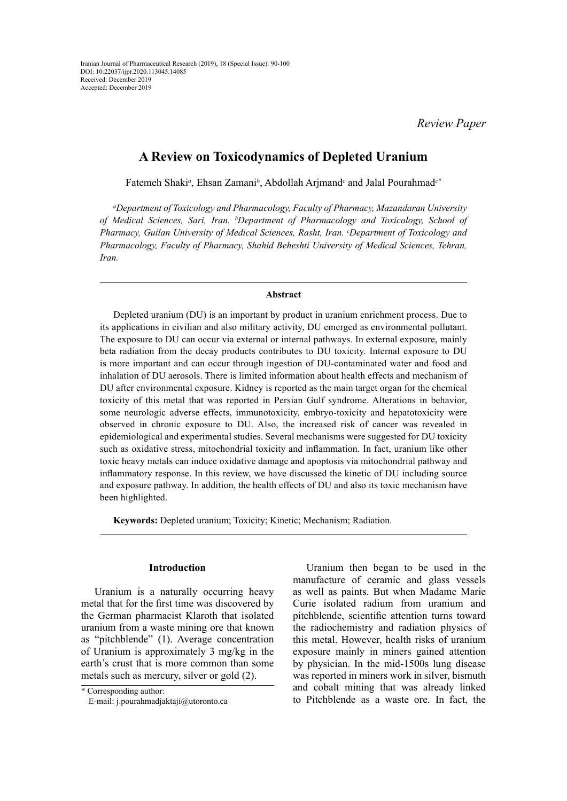*Review Paper*

# **A Review on Toxicodynamics of Depleted Uranium**

Fatemeh Shaki<sup>a</sup>, Ehsan Zamani<sup>b</sup>, Abdollah Arjmand<sup>c</sup> and Jalal Pourahmad<sup>c\*</sup>

*a Department of Toxicology and Pharmacology, Faculty of Pharmacy, Mazandaran University of Medical Sciences, Sari, Iran. b Department of Pharmacology and Toxicology, School of Pharmacy, Guilan University of Medical Sciences, Rasht, Iran. c Department of Toxicology and Pharmacology, Faculty of Pharmacy, Shahid Beheshti University of Medical Sciences, Tehran, Iran.*

#### **Abstract**

Depleted uranium (DU) is an important by product in uranium enrichment process. Due to its applications in civilian and also military activity, DU emerged as environmental pollutant. The exposure to DU can occur via external or internal pathways. In external exposure, mainly beta radiation from the decay products contributes to DU toxicity. Internal exposure to DU is more important and can occur through ingestion of DU-contaminated water and food and inhalation of DU aerosols. There is limited information about health effects and mechanism of DU after environmental exposure. Kidney is reported as the main target organ for the chemical toxicity of this metal that was reported in Persian Gulf syndrome. Alterations in behavior, some neurologic adverse effects, immunotoxicity, embryo-toxicity and hepatotoxicity were observed in chronic exposure to DU. Also, the increased risk of cancer was revealed in epidemiological and experimental studies. Several mechanisms were suggested for DU toxicity such as oxidative stress, mitochondrial toxicity and inflammation. In fact, uranium like other toxic heavy metals can induce oxidative damage and apoptosis via mitochondrial pathway and inflammatory response. In this review, we have discussed the kinetic of DU including source and exposure pathway. In addition, the health effects of DU and also its toxic mechanism have been highlighted.

**Keywords:** Depleted uranium; Toxicity; Kinetic; Mechanism; Radiation.

# **Introduction**

Uranium is a naturally occurring heavy metal that for the first time was discovered by the German pharmacist Klaroth that isolated uranium from a waste mining ore that known as "pitchblende" (1). Average concentration of Uranium is approximately 3 mg/kg in the earth's crust that is more common than some metals such as mercury, silver or gold (2).

Uranium then began to be used in the manufacture of ceramic and glass vessels as well as paints. But when Madame Marie Curie isolated radium from uranium and pitchblende, scientific attention turns toward the radiochemistry and radiation physics of this metal. However, health risks of uranium exposure mainly in miners gained attention by physician. In the mid-1500s lung disease was reported in miners work in silver, bismuth and cobalt mining that was already linked to Pitchblende as a waste ore. In fact, the

<sup>\*</sup> Corresponding author: E-mail: j.pourahmadjaktaji@utoronto.ca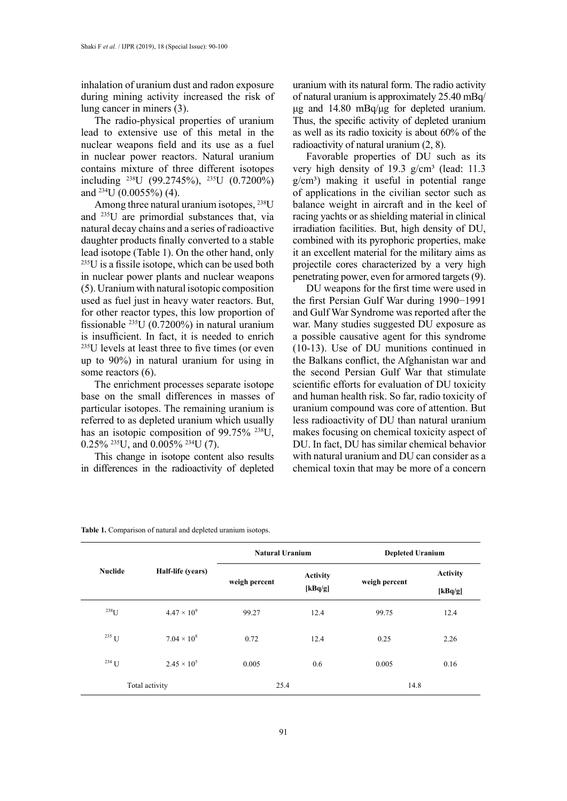inhalation of uranium dust and radon exposure during mining activity increased the risk of lung cancer in miners (3).

The radio-physical properties of uranium lead to extensive use of this metal in the nuclear weapons field and its use as a fuel in nuclear power reactors. Natural uranium contains mixture of three different isotopes including 238U (99.2745%), 235U (0.7200%) and  $^{234}$ U (0.0055%) (4).

Among three natural uranium isotopes, 238U and 235U are primordial substances that, via natural decay chains and a series of radioactive daughter products finally converted to a stable lead isotope (Table 1). On the other hand, only <sup>235</sup>U is a fissile isotope, which can be used both in nuclear power plants and nuclear weapons (5). Uranium with natural isotopic composition used as fuel just in heavy water reactors. But, for other reactor types, this low proportion of fissionable  $^{235}$ U (0.7200%) in natural uranium is insufficient. In fact, it is needed to enrich <sup>235</sup>U levels at least three to five times (or even up to 90%) in natural uranium for using in some reactors  $(6)$ .

The enrichment processes separate isotope base on the small differences in masses of particular isotopes. The remaining uranium is referred to as depleted uranium which usually has an isotopic composition of 99.75% <sup>238</sup>U,  $0.25\%$  <sup>235</sup>U, and  $0.005\%$  <sup>234</sup>U (7).

This change in isotope content also results in differences in the radioactivity of depleted uranium with its natural form. The radio activity of natural uranium is approximately 25.40 mBq/ μg and 14.80 mBq/μg for depleted uranium. Thus, the specific activity of depleted uranium as well as its radio toxicity is about 60% of the radioactivity of natural uranium (2, 8).

Favorable properties of DU such as its very high density of 19.3  $g/cm<sup>3</sup>$  (lead: 11.3  $g/cm<sup>3</sup>$ ) making it useful in potential range of applications in the civilian sector such as balance weight in aircraft and in the keel of racing yachts or as shielding material in clinical irradiation facilities. But, high density of DU, combined with its pyrophoric properties, make it an excellent material for the military aims as projectile cores characterized by a very high penetrating power, even for armored targets (9).

DU weapons for the first time were used in the first Persian Gulf War during 1990−1991 and Gulf War Syndrome was reported after the war. Many studies suggested DU exposure as a possible causative agent for this syndrome (10-13). Use of DU munitions continued in the Balkans conflict, the Afghanistan war and the second Persian Gulf War that stimulate scientific efforts for evaluation of DU toxicity and human health risk. So far, radio toxicity of uranium compound was core of attention. But less radioactivity of DU than natural uranium makes focusing on chemical toxicity aspect of DU. In fact, DU has similar chemical behavior with natural uranium and DU can consider as a chemical toxin that may be more of a concern

| <b>Nuclide</b> | Half-life (years)    | <b>Natural Uranium</b> |                            | <b>Depleted Uranium</b> |                            |
|----------------|----------------------|------------------------|----------------------------|-------------------------|----------------------------|
|                |                      | weigh percent          | <b>Activity</b><br>[kBq/g] | weigh percent           | <b>Activity</b><br>[kBq/g] |
| $^{238}$ U     | $4.47 \times 10^{9}$ | 99.27                  | 12.4                       | 99.75                   | 12.4                       |
| $235$ U        | $7.04 \times 10^8$   | 0.72                   | 12.4                       | 0.25                    | 2.26                       |
| $^{234}$ U     | $2.45 \times 10^{5}$ | 0.005                  | 0.6                        | 0.005                   | 0.16                       |
| Total activity |                      | 25.4                   |                            | 14.8                    |                            |

|  | Table 1. Comparison of natural and depleted uranium isotops. |  |
|--|--------------------------------------------------------------|--|
|  |                                                              |  |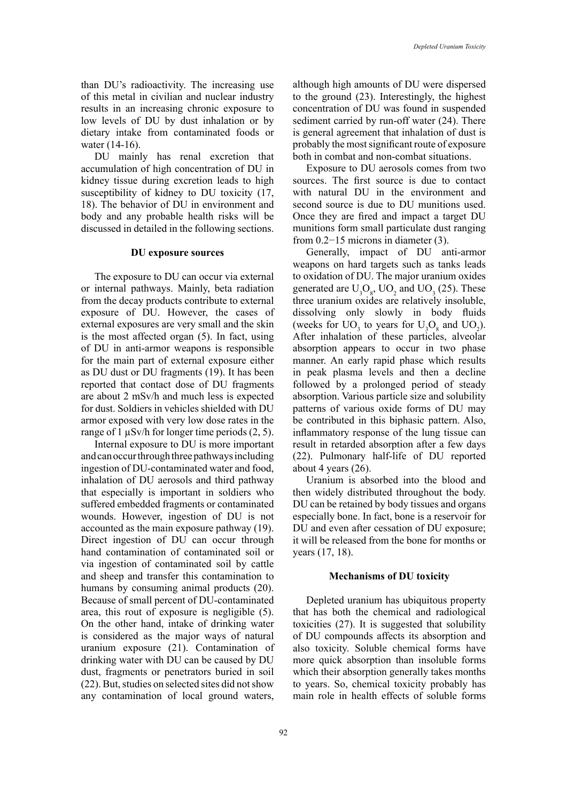than DU's radioactivity. The increasing use of this metal in civilian and nuclear industry results in an increasing chronic exposure to low levels of DU by dust inhalation or by dietary intake from contaminated foods or water (14-16).

DU mainly has renal excretion that accumulation of high concentration of DU in kidney tissue during excretion leads to high susceptibility of kidney to DU toxicity (17, 18). The behavior of DU in environment and body and any probable health risks will be discussed in detailed in the following sections.

#### **DU exposure sources**

The exposure to DU can occur via external or internal pathways. Mainly, beta radiation from the decay products contribute to external exposure of DU. However, the cases of external exposures are very small and the skin is the most affected organ (5). In fact, using of DU in anti-armor weapons is responsible for the main part of external exposure either as DU dust or DU fragments (19). It has been reported that contact dose of DU fragments are about 2 mSv/h and much less is expected for dust. Soldiers in vehicles shielded with DU armor exposed with very low dose rates in the range of 1 µSv/h for longer time periods (2, 5).

Internal exposure to DU is more important and can occur through three pathways including ingestion of DU-contaminated water and food, inhalation of DU aerosols and third pathway that especially is important in soldiers who suffered embedded fragments or contaminated wounds. However, ingestion of DU is not accounted as the main exposure pathway (19). Direct ingestion of DU can occur through hand contamination of contaminated soil or via ingestion of contaminated soil by cattle and sheep and transfer this contamination to humans by consuming animal products (20). Because of small percent of DU-contaminated area, this rout of exposure is negligible (5). On the other hand, intake of drinking water is considered as the major ways of natural uranium exposure (21). Contamination of drinking water with DU can be caused by DU dust, fragments or penetrators buried in soil (22). But, studies on selected sites did not show any contamination of local ground waters,

although high amounts of DU were dispersed to the ground (23). Interestingly, the highest concentration of DU was found in suspended sediment carried by run-off water (24). There is general agreement that inhalation of dust is probably the most significant route of exposure both in combat and non-combat situations.

Exposure to DU aerosols comes from two sources. The first source is due to contact with natural DU in the environment and second source is due to DU munitions used. Once they are fired and impact a target DU munitions form small particulate dust ranging from 0.2−15 microns in diameter (3).

Generally, impact of DU anti-armor weapons on hard targets such as tanks leads to oxidation of DU. The major uranium oxides generated are  $U_3O_8$ ,  $UO_2$  and  $UO_3$  (25). These three uranium oxides are relatively insoluble, dissolving only slowly in body fluids (weeks for  $UO_3$  to years for  $U_3O_8$  and  $UO_2$ ). After inhalation of these particles, alveolar absorption appears to occur in two phase manner. An early rapid phase which results in peak plasma levels and then a decline followed by a prolonged period of steady absorption. Various particle size and solubility patterns of various oxide forms of DU may be contributed in this biphasic pattern. Also, inflammatory response of the lung tissue can result in retarded absorption after a few days (22). Pulmonary half-life of DU reported about 4 years (26).

Uranium is absorbed into the blood and then widely distributed throughout the body. DU can be retained by body tissues and organs especially bone. In fact, bone is a reservoir for DU and even after cessation of DU exposure; it will be released from the bone for months or years (17, 18).

#### **Mechanisms of DU toxicity**

Depleted uranium has ubiquitous property that has both the chemical and radiological toxicities (27). It is suggested that solubility of DU compounds affects its absorption and also toxicity. Soluble chemical forms have more quick absorption than insoluble forms which their absorption generally takes months to years. So, chemical toxicity probably has main role in health effects of soluble forms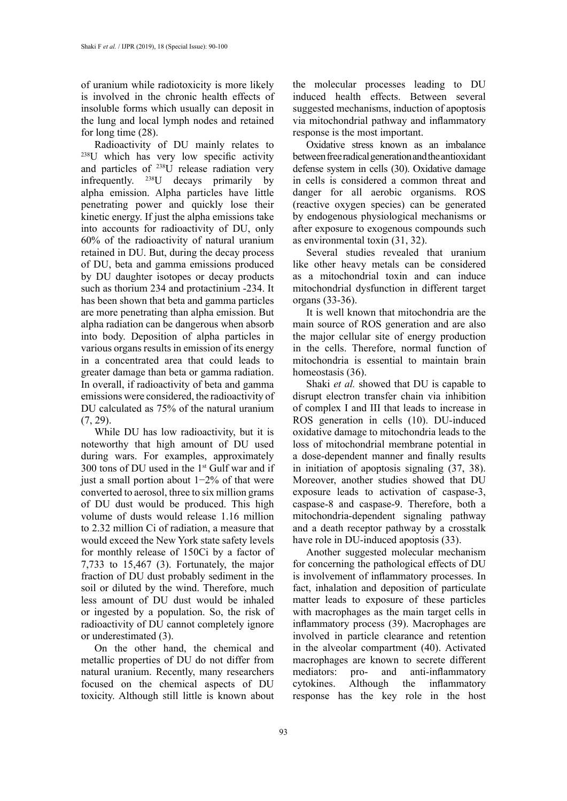of uranium while radiotoxicity is more likely is involved in the chronic health effects of insoluble forms which usually can deposit in the lung and local lymph nodes and retained for long time (28).

Radioactivity of DU mainly relates to <sup>238</sup>U which has very low specific activity and particles of 238U release radiation very infrequently. 238U decays primarily by alpha emission. Alpha particles have little penetrating power and quickly lose their kinetic energy. If just the alpha emissions take into accounts for radioactivity of DU, only 60% of the radioactivity of natural uranium retained in DU. But, during the decay process of DU, beta and gamma emissions produced by DU daughter isotopes or decay products such as thorium 234 and protactinium -234. It has been shown that beta and gamma particles are more penetrating than alpha emission. But alpha radiation can be dangerous when absorb into body. Deposition of alpha particles in various organs results in emission of its energy in a concentrated area that could leads to greater damage than beta or gamma radiation. In overall, if radioactivity of beta and gamma emissions were considered, the radioactivity of DU calculated as 75% of the natural uranium (7, 29).

While DU has low radioactivity, but it is noteworthy that high amount of DU used during wars. For examples, approximately 300 tons of DU used in the  $1<sup>st</sup>$  Gulf war and if just a small portion about 1−2% of that were converted to aerosol, three to six million grams of DU dust would be produced. This high volume of dusts would release 1.16 million to 2.32 million Ci of radiation, a measure that would exceed the New York state safety levels for monthly release of 150Ci by a factor of 7,733 to 15,467 (3). Fortunately, the major fraction of DU dust probably sediment in the soil or diluted by the wind. Therefore, much less amount of DU dust would be inhaled or ingested by a population. So, the risk of radioactivity of DU cannot completely ignore or underestimated (3).

On the other hand, the chemical and metallic properties of DU do not differ from natural uranium. Recently, many researchers focused on the chemical aspects of DU toxicity. Although still little is known about the molecular processes leading to DU induced health effects. Between several suggested mechanisms, induction of apoptosis via mitochondrial pathway and inflammatory response is the most important.

Oxidative stress known as an imbalance between free radical generation and the antioxidant defense system in cells (30). Oxidative damage in cells is considered a common threat and danger for all aerobic organisms. ROS (reactive oxygen species) can be generated by endogenous physiological mechanisms or after exposure to exogenous compounds such as environmental toxin (31, 32).

Several studies revealed that uranium like other heavy metals can be considered as a mitochondrial toxin and can induce mitochondrial dysfunction in different target organs (33-36).

It is well known that mitochondria are the main source of ROS generation and are also the major cellular site of energy production in the cells. Therefore, normal function of mitochondria is essential to maintain brain homeostasis (36).

Shaki *et al.* showed that DU is capable to disrupt electron transfer chain via inhibition of complex I and III that leads to increase in ROS generation in cells (10). DU-induced oxidative damage to mitochondria leads to the loss of mitochondrial membrane potential in a dose-dependent manner and finally results in initiation of apoptosis signaling (37, 38). Moreover, another studies showed that DU exposure leads to activation of caspase-3, caspase-8 and caspase-9. Therefore, both a mitochondria-dependent signaling pathway and a death receptor pathway by a crosstalk have role in DU-induced apoptosis (33).

Another suggested molecular mechanism for concerning the pathological effects of DU is involvement of inflammatory processes. In fact, inhalation and deposition of particulate matter leads to exposure of these particles with macrophages as the main target cells in inflammatory process (39). Macrophages are involved in particle clearance and retention in the alveolar compartment (40). Activated macrophages are known to secrete different mediators: pro- and anti-inflammatory cytokines. Although the inflammatory response has the key role in the host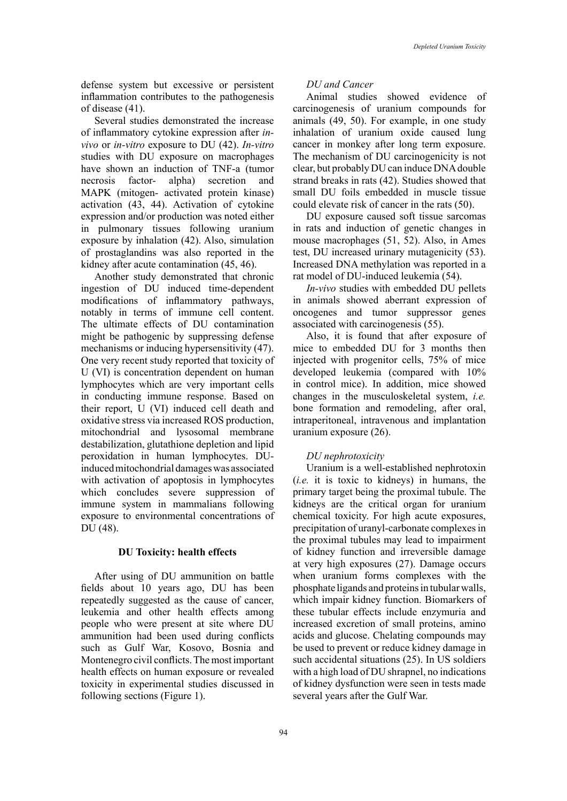defense system but excessive or persistent inflammation contributes to the pathogenesis of disease (41).

Several studies demonstrated the increase of inflammatory cytokine expression after *invivo* or *in-vitro* exposure to DU (42). *In-vitro* studies with DU exposure on macrophages have shown an induction of TNF-a (tumor necrosis factor- alpha) secretion and MAPK (mitogen- activated protein kinase) activation (43, 44). Activation of cytokine expression and/or production was noted either in pulmonary tissues following uranium exposure by inhalation (42). Also, simulation of prostaglandins was also reported in the kidney after acute contamination (45, 46).

Another study demonstrated that chronic ingestion of DU induced time-dependent modifications of inflammatory pathways, notably in terms of immune cell content. The ultimate effects of DU contamination might be pathogenic by suppressing defense mechanisms or inducing hypersensitivity (47). One very recent study reported that toxicity of U (VI) is concentration dependent on human lymphocytes which are very important cells in conducting immune response. Based on their report, U (VI) induced cell death and oxidative stress via increased ROS production, mitochondrial and lysosomal membrane destabilization, glutathione depletion and lipid peroxidation in human lymphocytes. DUinduced mitochondrial damages was associated with activation of apoptosis in lymphocytes which concludes severe suppression of immune system in mammalians following exposure to environmental concentrations of DU (48).

#### **DU Toxicity: health effects**

After using of DU ammunition on battle fields about 10 years ago, DU has been repeatedly suggested as the cause of cancer, leukemia and other health effects among people who were present at site where DU ammunition had been used during conflicts such as Gulf War, Kosovo, Bosnia and Montenegro civil conflicts. The most important health effects on human exposure or revealed toxicity in experimental studies discussed in following sections (Figure 1).

# *DU and Cancer*

Animal studies showed evidence of carcinogenesis of uranium compounds for animals (49, 50). For example, in one study inhalation of uranium oxide caused lung cancer in monkey after long term exposure. The mechanism of DU carcinogenicity is not clear, but probably DU can induce DNA double strand breaks in rats (42). Studies showed that small DU foils embedded in muscle tissue could elevate risk of cancer in the rats (50).

DU exposure caused soft tissue sarcomas in rats and induction of genetic changes in mouse macrophages (51, 52). Also, in Ames test, DU increased urinary mutagenicity (53). Increased DNA methylation was reported in a rat model of DU-induced leukemia (54).

*In-vivo* studies with embedded DU pellets in animals showed aberrant expression of oncogenes and tumor suppressor genes associated with carcinogenesis (55).

Also, it is found that after exposure of mice to embedded DU for 3 months then injected with progenitor cells, 75% of mice developed leukemia (compared with 10% in control mice). In addition, mice showed changes in the musculoskeletal system, *i.e.* bone formation and remodeling, after oral, intraperitoneal, intravenous and implantation uranium exposure (26).

## *DU nephrotoxicity*

Uranium is a well-established nephrotoxin (*i.e.* it is toxic to kidneys) in humans, the primary target being the proximal tubule. The kidneys are the critical organ for uranium chemical toxicity. For high acute exposures, precipitation of uranyl-carbonate complexes in the proximal tubules may lead to impairment of kidney function and irreversible damage at very high exposures (27). Damage occurs when uranium forms complexes with the phosphate ligands and proteins in tubular walls, which impair kidney function. Biomarkers of these tubular effects include enzymuria and increased excretion of small proteins, amino acids and glucose. Chelating compounds may be used to prevent or reduce kidney damage in such accidental situations (25). In US soldiers with a high load of DU shrapnel, no indications of kidney dysfunction were seen in tests made several years after the Gulf War.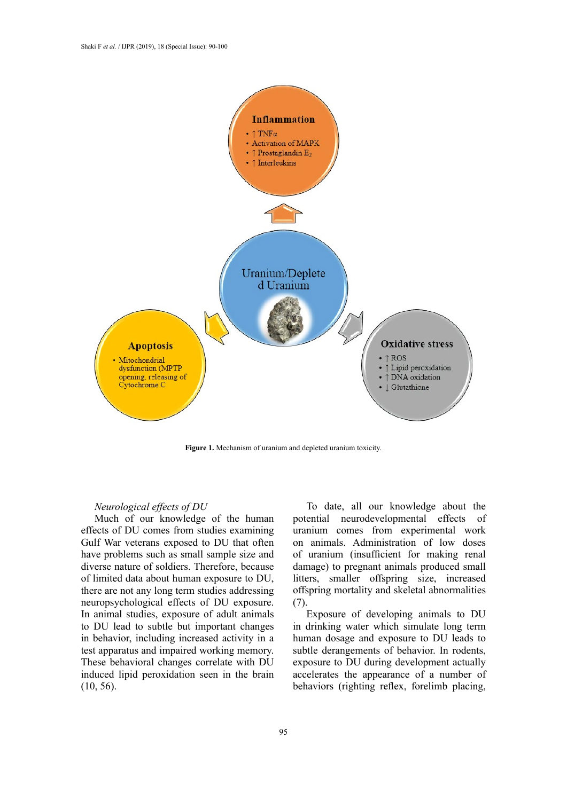

**Figure 1.** Mechanism of uranium and depleted uranium toxicity.

# *Neurological effects of DU*

Much of our knowledge of the human effects of DU comes from studies examining Gulf War veterans exposed to DU that often have problems such as small sample size and diverse nature of soldiers. Therefore, because of limited data about human exposure to DU, there are not any long term studies addressing neuropsychological effects of DU exposure. In animal studies, exposure of adult animals to DU lead to subtle but important changes in behavior, including increased activity in a test apparatus and impaired working memory. These behavioral changes correlate with DU induced lipid peroxidation seen in the brain (10, 56).

To date, all our knowledge about the potential neurodevelopmental effects of uranium comes from experimental work on animals. Administration of low doses of uranium (insufficient for making renal damage) to pregnant animals produced small litters, smaller offspring size, increased offspring mortality and skeletal abnormalities (7).

Exposure of developing animals to DU in drinking water which simulate long term human dosage and exposure to DU leads to subtle derangements of behavior. In rodents, exposure to DU during development actually accelerates the appearance of a number of behaviors (righting reflex, forelimb placing,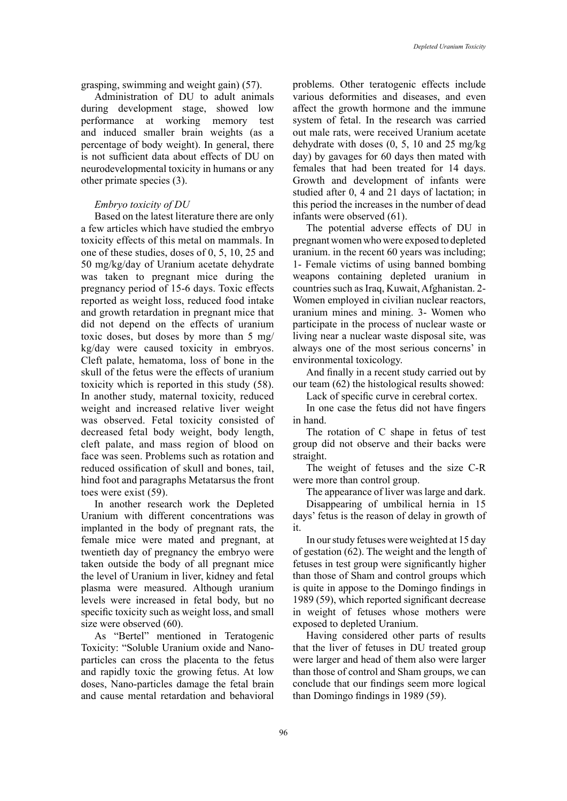grasping, swimming and weight gain) (57).

Administration of DU to adult animals during development stage, showed low performance at working memory test and induced smaller brain weights (as a percentage of body weight). In general, there is not sufficient data about effects of DU on neurodevelopmental toxicity in humans or any other primate species (3).

# *Embryo toxicity of DU*

Based on the latest literature there are only a few articles which have studied the embryo toxicity effects of this metal on mammals. In one of these studies, doses of 0, 5, 10, 25 and 50 mg/kg/day of Uranium acetate dehydrate was taken to pregnant mice during the pregnancy period of 15-6 days. Toxic effects reported as weight loss, reduced food intake and growth retardation in pregnant mice that did not depend on the effects of uranium toxic doses, but doses by more than 5 mg/ kg/day were caused toxicity in embryos. Cleft palate, hematoma, loss of bone in the skull of the fetus were the effects of uranium toxicity which is reported in this study (58). In another study, maternal toxicity, reduced weight and increased relative liver weight was observed. Fetal toxicity consisted of decreased fetal body weight, body length, cleft palate, and mass region of blood on face was seen. Problems such as rotation and reduced ossification of skull and bones, tail, hind foot and paragraphs Metatarsus the front toes were exist (59).

In another research work the Depleted Uranium with different concentrations was implanted in the body of pregnant rats, the female mice were mated and pregnant, at twentieth day of pregnancy the embryo were taken outside the body of all pregnant mice the level of Uranium in liver, kidney and fetal plasma were measured. Although uranium levels were increased in fetal body, but no specific toxicity such as weight loss, and small size were observed (60).

As "Bertel" mentioned in Teratogenic Toxicity: "Soluble Uranium oxide and Nanoparticles can cross the placenta to the fetus and rapidly toxic the growing fetus. At low doses, Nano-particles damage the fetal brain and cause mental retardation and behavioral

problems. Other teratogenic effects include various deformities and diseases, and even affect the growth hormone and the immune system of fetal. In the research was carried out male rats, were received Uranium acetate dehydrate with doses (0, 5, 10 and 25 mg/kg day) by gavages for 60 days then mated with females that had been treated for 14 days. Growth and development of infants were studied after 0, 4 and 21 days of lactation; in this period the increases in the number of dead infants were observed (61).

The potential adverse effects of DU in pregnant women who were exposed to depleted uranium. in the recent 60 years was including; 1- Female victims of using banned bombing weapons containing depleted uranium in countries such as Iraq, Kuwait, Afghanistan. 2- Women employed in civilian nuclear reactors, uranium mines and mining. 3- Women who participate in the process of nuclear waste or living near a nuclear waste disposal site, was always one of the most serious concerns' in environmental toxicology.

And finally in a recent study carried out by our team (62) the histological results showed:

Lack of specific curve in cerebral cortex.

In one case the fetus did not have fingers in hand.

The rotation of C shape in fetus of test group did not observe and their backs were straight.

The weight of fetuses and the size C-R were more than control group.

The appearance of liver was large and dark. Disappearing of umbilical hernia in 15 days' fetus is the reason of delay in growth of it.

In our study fetuses were weighted at 15 day of gestation (62). The weight and the length of fetuses in test group were significantly higher than those of Sham and control groups which is quite in appose to the Domingo findings in 1989 (59), which reported significant decrease in weight of fetuses whose mothers were exposed to depleted Uranium.

Having considered other parts of results that the liver of fetuses in DU treated group were larger and head of them also were larger than those of control and Sham groups, we can conclude that our findings seem more logical than Domingo findings in 1989 (59).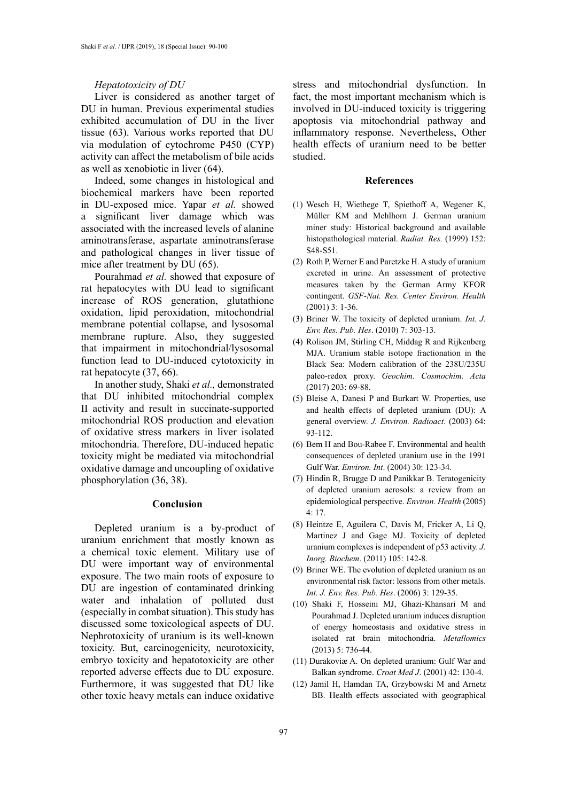#### *Hepatotoxicity of DU*

Liver is considered as another target of DU in human. Previous experimental studies exhibited accumulation of DU in the liver tissue (63). Various works reported that DU via modulation of cytochrome P450 (CYP) activity can affect the metabolism of bile acids as well as xenobiotic in liver (64).

Indeed, some changes in histological and biochemical markers have been reported in DU-exposed mice. Yapar *et al.* showed a significant liver damage which was associated with the increased levels of alanine aminotransferase, aspartate aminotransferase and pathological changes in liver tissue of mice after treatment by DU (65).

Pourahmad *et al.* showed that exposure of rat hepatocytes with DU lead to significant increase of ROS generation, glutathione oxidation, lipid peroxidation, mitochondrial membrane potential collapse, and lysosomal membrane rupture. Also, they suggested that impairment in mitochondrial/lysosomal function lead to DU-induced cytotoxicity in rat hepatocyte (37, 66).

In another study, Shaki *et al.,* demonstrated that DU inhibited mitochondrial complex II activity and result in succinate-supported mitochondrial ROS production and elevation of oxidative stress markers in liver isolated mitochondria. Therefore, DU-induced hepatic toxicity might be mediated via mitochondrial oxidative damage and uncoupling of oxidative phosphorylation (36, 38).

# **Conclusion**

Depleted uranium is a by-product of uranium enrichment that mostly known as a chemical toxic element. Military use of DU were important way of environmental exposure. The two main roots of exposure to DU are ingestion of contaminated drinking water and inhalation of polluted dust (especially in combat situation). This study has discussed some toxicological aspects of DU. Nephrotoxicity of uranium is its well-known toxicity. But, carcinogenicity, neurotoxicity, embryo toxicity and hepatotoxicity are other reported adverse effects due to DU exposure. Furthermore, it was suggested that DU like other toxic heavy metals can induce oxidative

stress and mitochondrial dysfunction. In fact, the most important mechanism which is involved in DU-induced toxicity is triggering apoptosis via mitochondrial pathway and inflammatory response. Nevertheless, Other health effects of uranium need to be better studied.

# **References**

- (1) Wesch H, Wiethege T, Spiethoff A, Wegener K, Müller KM and Mehlhorn J. German uranium miner study: Historical background and available histopathological material. *Radiat. Res.* (1999) 152: S48-S51.
- (2) Roth P, Werner E and Paretzke H. A study of uranium excreted in urine. An assessment of protective measures taken by the German Army KFOR contingent. *GSF-Nat. Res. Center Environ. Health* (2001) 3: 1-36.
- (3) Briner W. The toxicity of depleted uranium. *Int. J. Env. Res. Pub. Hes*. (2010) 7: 303-13.
- (4) Rolison JM, Stirling CH, Middag R and Rijkenberg MJA. Uranium stable isotope fractionation in the Black Sea: Modern calibration of the 238U/235U paleo-redox proxy. *Geochim. Cosmochim. Acta* (2017) 203: 69-88.
- (5) Bleise A, Danesi P and Burkart W. Properties, use and health effects of depleted uranium (DU): A general overview. *J. Environ. Radioact*. (2003) 64: 93-112.
- (6) Bem H and Bou-Rabee F. Environmental and health consequences of depleted uranium use in the 1991 Gulf War. *Environ. Int*. (2004) 30: 123-34.
- (7) Hindin R, Brugge D and Panikkar B. Teratogenicity of depleted uranium aerosols: a review from an epidemiological perspective. *Environ. Health* (2005)  $4:17$
- (8) Heintze E, Aguilera C, Davis M, Fricker A, Li Q, Martinez J and Gage MJ. Toxicity of depleted uranium complexes is independent of p53 activity. *J. Inorg. Biochem*. (2011) 105: 142-8.
- (9) Briner WE. The evolution of depleted uranium as an environmental risk factor: lessons from other metals. *Int. J. Env. Res. Pub. Hes*. (2006) 3: 129-35.
- (10) Shaki F, Hosseini MJ, Ghazi-Khansari M and Pourahmad J. Depleted uranium induces disruption of energy homeostasis and oxidative stress in isolated rat brain mitochondria. *Metallomics* (2013) 5: 736-44.
- (11) Durakoviæ A. On depleted uranium: Gulf War and Balkan syndrome. *Croat Med J*. (2001) 42: 130-4.
- (12) Jamil H, Hamdan TA, Grzybowski M and Arnetz BB. Health effects associated with geographical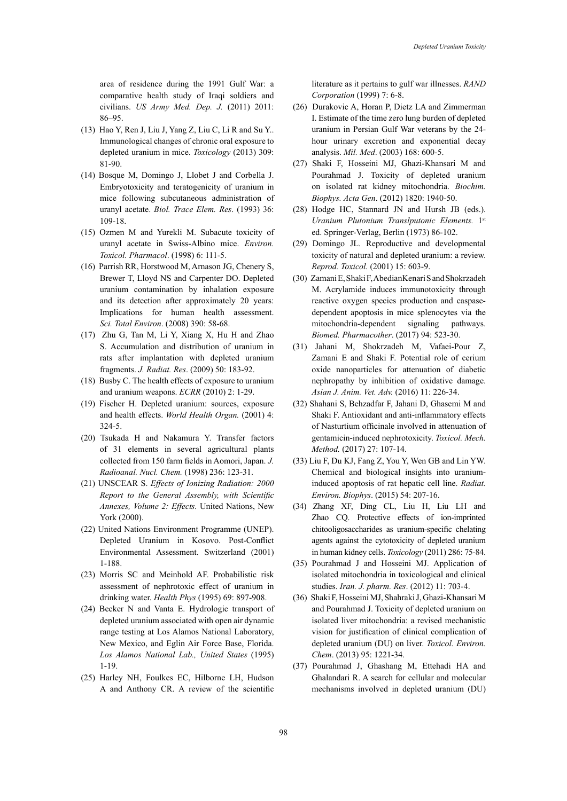area of residence during the 1991 Gulf War: a comparative health study of Iraqi soldiers and civilians. *US Army Med. Dep. J.* (2011) 2011: 86–95.

- (13) Hao Y, Ren J, Liu J, Yang Z, Liu C, Li R and Su Y.. Immunological changes of chronic oral exposure to depleted uranium in mice. *Toxicology* (2013) 309: 81-90.
- (14) Bosque M, Domingo J, Llobet J and Corbella J. Embryotoxicity and teratogenicity of uranium in mice following subcutaneous administration of uranyl acetate. *Biol. Trace Elem. Res*. (1993) 36: 109-18.
- (15) Ozmen M and Yurekli M. Subacute toxicity of uranyl acetate in Swiss-Albino mice. *Environ. Toxicol. Pharmacol*. (1998) 6: 111-5.
- (16) Parrish RR, Horstwood M, Arnason JG, Chenery S, Brewer T, Lloyd NS and Carpenter DO. Depleted uranium contamination by inhalation exposure and its detection after approximately 20 years: Implications for human health assessment. *Sci. Total Environ*. (2008) 390: 58-68.
- (17) Zhu G, Tan M, Li Y, Xiang X, Hu H and Zhao S. Accumulation and distribution of uranium in rats after implantation with depleted uranium fragments. *J. Radiat. Res*. (2009) 50: 183-92.
- (18) Busby C. The health effects of exposure to uranium and uranium weapons. *ECRR* (2010) 2: 1-29.
- (19) Fischer H. Depleted uranium: sources, exposure and health effects. *World Health Organ.* (2001) 4: 324-5.
- (20) Tsukada H and Nakamura Y. Transfer factors of 31 elements in several agricultural plants collected from 150 farm fields in Aomori, Japan. *J. Radioanal. Nucl. Chem.* (1998) 236: 123-31.
- (21) UNSCEAR S. *Effects of Ionizing Radiation: 2000 Report to the General Assembly, with Scientific Annexes, Volume 2: Effects.* United Nations, New York (2000).
- (22) United Nations Environment Programme (UNEP). Depleted Uranium in Kosovo. Post-Conflict Environmental Assessment. Switzerland (2001) 1-188.
- (23) Morris SC and Meinhold AF. Probabilistic risk assessment of nephrotoxic effect of uranium in drinking water. *Health Phys* (1995) 69: 897-908.
- (24) Becker N and Vanta E. Hydrologic transport of depleted uranium associated with open air dynamic range testing at Los Alamos National Laboratory, New Mexico, and Eglin Air Force Base, Florida. *Los Alamos National Lab., United States* (1995) 1-19.
- (25) Harley NH, Foulkes EC, Hilborne LH, Hudson A and Anthony CR. A review of the scientific

literature as it pertains to gulf war illnesses. *RAND Corporation* (1999) 7: 6-8.

- (26) Durakovic A, Horan P, Dietz LA and Zimmerman I. Estimate of the time zero lung burden of depleted uranium in Persian Gulf War veterans by the 24 hour urinary excretion and exponential decay analysis. *Mil. Med*. (2003) 168: 600-5.
- (27) Shaki F, Hosseini MJ, Ghazi-Khansari M and Pourahmad J. Toxicity of depleted uranium on isolated rat kidney mitochondria. *Biochim. Biophys. Acta Gen*. (2012) 1820: 1940-50.
- (28) Hodge HC, Stannard JN and Hursh JB (eds.). *Uranium Plutonium Translputonic Elements.* 1st ed. Springer-Verlag, Berlin (1973) 86-102.
- (29) Domingo JL. Reproductive and developmental toxicity of natural and depleted uranium: a review. *Reprod. Toxicol.* (2001) 15: 603-9.
- (30) Zamani E, Shaki F, AbedianKenari S and Shokrzadeh M. Acrylamide induces immunotoxicity through reactive oxygen species production and caspasedependent apoptosis in mice splenocytes via the mitochondria-dependent signaling pathways. *Biomed. Pharmacother*. (2017) 94: 523-30.
- (31) Jahani M, Shokrzadeh M, Vafaei-Pour Z, Zamani E and Shaki F. Potential role of cerium oxide nanoparticles for attenuation of diabetic nephropathy by inhibition of oxidative damage. *Asian J. Anim. Vet. Adv.* (2016) 11: 226-34.
- (32) Shahani S, Behzadfar F, Jahani D, Ghasemi M and Shaki F. Antioxidant and anti-inflammatory effects of Nasturtium officinale involved in attenuation of gentamicin-induced nephrotoxicity. *Toxicol. Mech. Method.* (2017) 27: 107-14.
- (33) Liu F, Du KJ, Fang Z, You Y, Wen GB and Lin YW. Chemical and biological insights into uraniuminduced apoptosis of rat hepatic cell line. *Radiat. Environ. Biophys*. (2015) 54: 207-16.
- (34) Zhang XF, Ding CL, Liu H, Liu LH and Zhao CQ. Protective effects of ion-imprinted chitooligosaccharides as uranium-specific chelating agents against the cytotoxicity of depleted uranium in human kidney cells. *Toxicology* (2011) 286: 75-84.
- (35) Pourahmad J and Hosseini MJ. Application of isolated mitochondria in toxicological and clinical studies. *Iran. J. pharm. Res*. (2012) 11: 703-4.
- (36) Shaki F, Hosseini MJ, Shahraki J, Ghazi-Khansari M and Pourahmad J. Toxicity of depleted uranium on isolated liver mitochondria: a revised mechanistic vision for justification of clinical complication of depleted uranium (DU) on liver. *Toxicol. Environ. Chem*. (2013) 95: 1221-34.
- (37) Pourahmad J, Ghashang M, Ettehadi HA and Ghalandari R. A search for cellular and molecular mechanisms involved in depleted uranium (DU)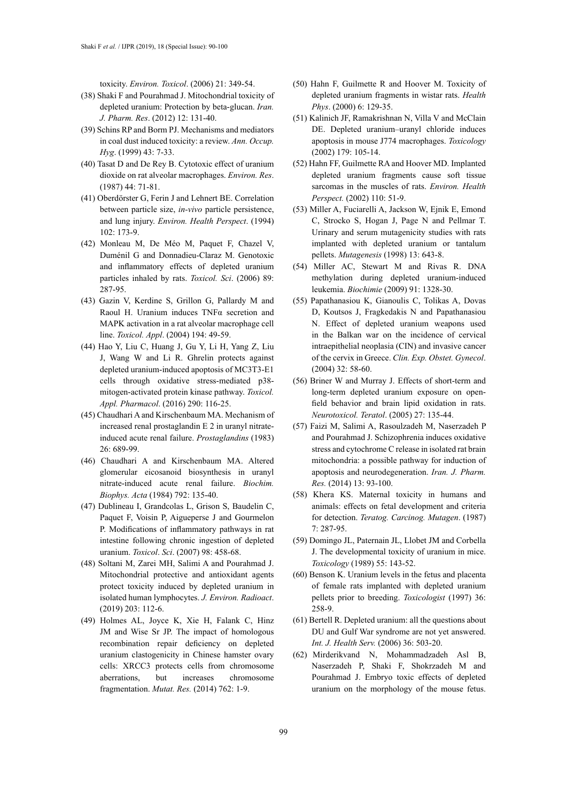toxicity. *Environ. Toxicol*. (2006) 21: 349-54.

- (38) Shaki F and Pourahmad J. Mitochondrial toxicity of depleted uranium: Protection by beta-glucan. *Iran. J. Pharm. Res*. (2012) 12: 131-40.
- (39) Schins RP and Borm PJ. Mechanisms and mediators in coal dust induced toxicity: a review. *Ann. Occup. Hyg*. (1999) 43: 7-33.
- (40) Tasat D and De Rey B. Cytotoxic effect of uranium dioxide on rat alveolar macrophages. *Environ. Res*. (1987) 44: 71-81.
- (41) Oberdörster G, Ferin J and Lehnert BE. Correlation between particle size, *in-vivo* particle persistence, and lung injury. *Environ. Health Perspect*. (1994) 102: 173-9.
- (42) Monleau M, De Méo M, Paquet F, Chazel V, Duménil G and Donnadieu-Claraz M. Genotoxic and inflammatory effects of depleted uranium particles inhaled by rats. *Toxicol. Sci*. (2006) 89: 287-95.
- (43) Gazin V, Kerdine S, Grillon G, Pallardy M and Raoul H. Uranium induces TNFα secretion and MAPK activation in a rat alveolar macrophage cell line. *Toxicol. Appl*. (2004) 194: 49-59.
- (44) Hao Y, Liu C, Huang J, Gu Y, Li H, Yang Z, Liu J, Wang W and Li R. Ghrelin protects against depleted uranium-induced apoptosis of MC3T3-E1 cells through oxidative stress-mediated p38 mitogen-activated protein kinase pathway. *Toxicol. Appl. Pharmacol*. (2016) 290: 116-25.
- (45) Chaudhari A and Kirschenbaum MA. Mechanism of increased renal prostaglandin E 2 in uranyl nitrateinduced acute renal failure. *Prostaglandins* (1983) 26: 689-99.
- (46) Chaudhari A and Kirschenbaum MA. Altered glomerular eicosanoid biosynthesis in uranyl nitrate-induced acute renal failure. *Biochim. Biophys. Acta* (1984) 792: 135-40.
- (47) Dublineau I, Grandcolas L, Grison S, Baudelin C, Paquet F, Voisin P, Aigueperse J and Gourmelon P. Modifications of inflammatory pathways in rat intestine following chronic ingestion of depleted uranium. *Toxicol*. *Sci*. (2007) 98: 458-68.
- (48) Soltani M, Zarei MH, Salimi A and Pourahmad J. Mitochondrial protective and antioxidant agents protect toxicity induced by depleted uranium in isolated human lymphocytes. *J. Environ. Radioact*. (2019) 203: 112-6.
- (49) Holmes AL, Joyce K, Xie H, Falank C, Hinz JM and Wise Sr JP. The impact of homologous recombination repair deficiency on depleted uranium clastogenicity in Chinese hamster ovary cells: XRCC3 protects cells from chromosome aberrations, but increases chromosome fragmentation. *Mutat. Res.* (2014) 762: 1-9.
- (50) Hahn F, Guilmette R and Hoover M. Toxicity of depleted uranium fragments in wistar rats. *Health Phys*. (2000) 6: 129-35.
- (51) Kalinich JF, Ramakrishnan N, Villa V and McClain DE. Depleted uranium–uranyl chloride induces apoptosis in mouse J774 macrophages. *Toxicology* (2002) 179: 105-14.
- (52) Hahn FF, Guilmette RA and Hoover MD. Implanted depleted uranium fragments cause soft tissue sarcomas in the muscles of rats. *Environ. Health Perspect.* (2002) 110: 51-9.
- (53) Miller A, Fuciarelli A, Jackson W, Ejnik E, Emond C, Strocko S, Hogan J, Page N and Pellmar T. Urinary and serum mutagenicity studies with rats implanted with depleted uranium or tantalum pellets. *Mutagenesis* (1998) 13: 643-8.
- (54) Miller AC, Stewart M and Rivas R. DNA methylation during depleted uranium-induced leukemia. *Biochimie* (2009) 91: 1328-30.
- (55) Papathanasiou K, Gianoulis C, Tolikas A, Dovas D, Koutsos J, Fragkedakis N and Papathanasiou N. Effect of depleted uranium weapons used in the Balkan war on the incidence of cervical intraepithelial neoplasia (CIN) and invasive cancer of the cervix in Greece. *Clin. Exp. Obstet. Gynecol*. (2004) 32: 58-60.
- (56) Briner W and Murray J. Effects of short-term and long-term depleted uranium exposure on openfield behavior and brain lipid oxidation in rats. *Neurotoxicol. Teratol*. (2005) 27: 135-44.
- (57) Faizi M, Salimi A, Rasoulzadeh M, Naserzadeh P and Pourahmad J. Schizophrenia induces oxidative stress and cytochrome C release in isolated rat brain mitochondria: a possible pathway for induction of apoptosis and neurodegeneration. *Iran. J. Pharm. Res.* (2014) 13: 93-100.
- (58) Khera KS. Maternal toxicity in humans and animals: effects on fetal development and criteria for detection. *Teratog. Carcinog. Mutagen*. (1987) 7: 287-95.
- (59) Domingo JL, Paternain JL, Llobet JM and Corbella J. The developmental toxicity of uranium in mice. *Toxicology* (1989) 55: 143-52.
- (60) Benson K. Uranium levels in the fetus and placenta of female rats implanted with depleted uranium pellets prior to breeding. *Toxicologist* (1997) 36: 258-9.
- (61) Bertell R. Depleted uranium: all the questions about DU and Gulf War syndrome are not yet answered. *Int. J. Health Serv.* (2006) 36: 503-20.
- (62) Mirderikvand N, Mohammadzadeh Asl B, Naserzadeh P, Shaki F, Shokrzadeh M and Pourahmad J. Embryo toxic effects of depleted uranium on the morphology of the mouse fetus.